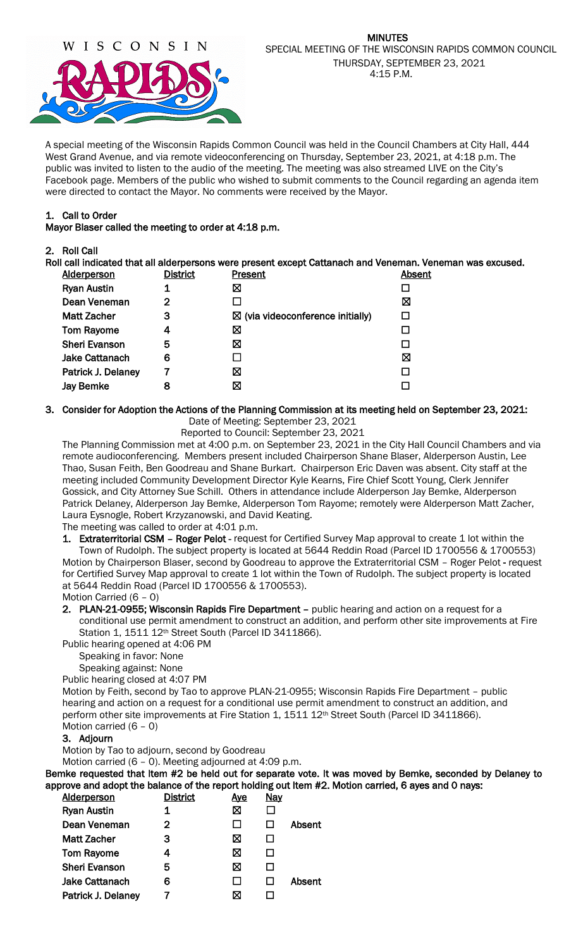

A special meeting of the Wisconsin Rapids Common Council was held in the Council Chambers at City Hall, 444 West Grand Avenue, and via remote videoconferencing on Thursday, September 23, 2021, at 4:18 p.m. The public was invited to listen to the audio of the meeting. The meeting was also streamed LIVE on the City's Facebook page. Members of the public who wished to submit comments to the Council regarding an agenda item were directed to contact the Mayor. No comments were received by the Mayor.

### 1. Call to Order

Mayor Blaser called the meeting to order at 4:18 p.m.

#### 2. Roll Call

Roll call indicated that all alderpersons were present except Cattanach and Veneman. Veneman was excused.

| <b>Alderperson</b>   | District | Present                                     | Absent |
|----------------------|----------|---------------------------------------------|--------|
| <b>Ryan Austin</b>   | 1        | ⊠                                           |        |
| Dean Veneman         | 2        |                                             | ⊠      |
| <b>Matt Zacher</b>   | з        | $\boxtimes$ (via videoconference initially) |        |
| <b>Tom Rayome</b>    | 4        | ⊠                                           |        |
| <b>Sheri Evanson</b> | 5        | ⊠                                           |        |
| Jake Cattanach       | 6        |                                             | ⊠      |
| Patrick J. Delaney   |          | ⊠                                           |        |
| Jay Bemke            | 8        | ⊠                                           |        |
|                      |          |                                             |        |

#### 3. Consider for Adoption the Actions of the Planning Commission at its meeting held on September 23, 2021:

Date of Meeting: September 23, 2021

Reported to Council: September 23, 2021

The Planning Commission met at 4:00 p.m. on September 23, 2021 in the City Hall Council Chambers and via remote audioconferencing. Members present included Chairperson Shane Blaser, Alderperson Austin, Lee Thao, Susan Feith, Ben Goodreau and Shane Burkart. Chairperson Eric Daven was absent. City staff at the meeting included Community Development Director Kyle Kearns, Fire Chief Scott Young, Clerk Jennifer Gossick, and City Attorney Sue Schill. Others in attendance include Alderperson Jay Bemke, Alderperson Patrick Delaney, Alderperson Jay Bemke, Alderperson Tom Rayome; remotely were Alderperson Matt Zacher, Laura Eysnogle, Robert Krzyzanowski, and David Keating.

The meeting was called to order at 4:01 p.m.

1. Extraterritorial CSM - Roger Pelot - request for Certified Survey Map approval to create 1 lot within the Town of Rudolph. The subject property is located at 5644 Reddin Road (Parcel ID 1700556 & 1700553) Motion by Chairperson Blaser, second by Goodreau to approve the Extraterritorial CSM – Roger Pelot - request

for Certified Survey Map approval to create 1 lot within the Town of Rudolph. The subject property is located at 5644 Reddin Road (Parcel ID 1700556 & 1700553). Motion Carried (6 – 0)

2. PLAN-21-0955; Wisconsin Rapids Fire Department – public hearing and action on a request for a conditional use permit amendment to construct an addition, and perform other site improvements at Fire Station 1, 1511 12th Street South (Parcel ID 3411866).

Public hearing opened at 4:06 PM

Speaking in favor: None

Speaking against: None

Public hearing closed at 4:07 PM

Motion by Feith, second by Tao to approve PLAN-21-0955; Wisconsin Rapids Fire Department – public hearing and action on a request for a conditional use permit amendment to construct an addition, and perform other site improvements at Fire Station 1, 1511 12<sup>th</sup> Street South (Parcel ID 3411866). Motion carried (6 – 0)

## 3. Adjourn

Motion by Tao to adjourn, second by Goodreau

Motion carried (6 – 0). Meeting adjourned at 4:09 p.m.

Bemke requested that Item #2 be held out for separate vote. It was moved by Bemke, seconded by Delaney to approve and adopt the balance of the report holding out Item #2. Motion carried, 6 ayes and 0 nays:

| <b>Alderperson</b>   | <b>District</b> | <u>Aye</u> | <u>Nay</u> |        |
|----------------------|-----------------|------------|------------|--------|
| <b>Ryan Austin</b>   | 1               | ⊠          |            |        |
| Dean Veneman         | 2               |            |            | Absent |
| <b>Matt Zacher</b>   | 3               | ⊠          |            |        |
| <b>Tom Rayome</b>    | 4               | ⋈          |            |        |
| <b>Sheri Evanson</b> | 5               | ⋈          |            |        |
| Jake Cattanach       | 6               |            |            | Absent |
| Patrick J. Delaney   |                 |            |            |        |